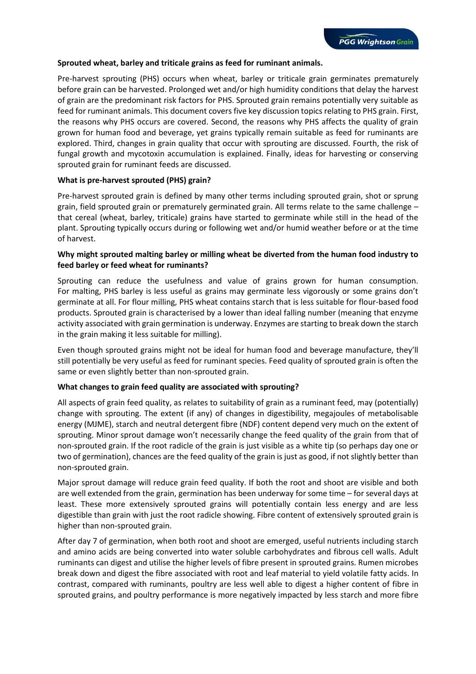### **Sprouted wheat, barley and triticale grains as feed for ruminant animals.**

Pre-harvest sprouting (PHS) occurs when wheat, barley or triticale grain germinates prematurely before grain can be harvested. Prolonged wet and/or high humidity conditions that delay the harvest of grain are the predominant risk factors for PHS. Sprouted grain remains potentially very suitable as feed for ruminant animals. This document covers five key discussion topics relating to PHS grain. First, the reasons why PHS occurs are covered. Second, the reasons why PHS affects the quality of grain grown for human food and beverage, yet grains typically remain suitable as feed for ruminants are explored. Third, changes in grain quality that occur with sprouting are discussed. Fourth, the risk of fungal growth and mycotoxin accumulation is explained. Finally, ideas for harvesting or conserving sprouted grain for ruminant feeds are discussed.

### **What is pre-harvest sprouted (PHS) grain?**

Pre-harvest sprouted grain is defined by many other terms including sprouted grain, shot or sprung grain, field sprouted grain or prematurely germinated grain. All terms relate to the same challenge – that cereal (wheat, barley, triticale) grains have started to germinate while still in the head of the plant. Sprouting typically occurs during or following wet and/or humid weather before or at the time of harvest.

## **Why might sprouted malting barley or milling wheat be diverted from the human food industry to feed barley or feed wheat for ruminants?**

Sprouting can reduce the usefulness and value of grains grown for human consumption. For malting, PHS barley is less useful as grains may germinate less vigorously or some grains don't germinate at all. For flour milling, PHS wheat contains starch that is less suitable for flour-based food products. Sprouted grain is characterised by a lower than ideal falling number (meaning that enzyme activity associated with grain germination is underway. Enzymes are starting to break down the starch in the grain making it less suitable for milling).

Even though sprouted grains might not be ideal for human food and beverage manufacture, they'll still potentially be very useful as feed for ruminant species. Feed quality of sprouted grain is often the same or even slightly better than non-sprouted grain.

### **What changes to grain feed quality are associated with sprouting?**

All aspects of grain feed quality, as relates to suitability of grain as a ruminant feed, may (potentially) change with sprouting. The extent (if any) of changes in digestibility, megajoules of metabolisable energy (MJME), starch and neutral detergent fibre (NDF) content depend very much on the extent of sprouting. Minor sprout damage won't necessarily change the feed quality of the grain from that of non-sprouted grain. If the root radicle of the grain is just visible as a white tip (so perhaps day one or two of germination), chances are the feed quality of the grain is just as good, if not slightly better than non-sprouted grain.

Major sprout damage will reduce grain feed quality. If both the root and shoot are visible and both are well extended from the grain, germination has been underway for some time – for several days at least. These more extensively sprouted grains will potentially contain less energy and are less digestible than grain with just the root radicle showing. Fibre content of extensively sprouted grain is higher than non-sprouted grain.

After day 7 of germination, when both root and shoot are emerged, useful nutrients including starch and amino acids are being converted into water soluble carbohydrates and fibrous cell walls. Adult ruminants can digest and utilise the higher levels of fibre present in sprouted grains. Rumen microbes break down and digest the fibre associated with root and leaf material to yield volatile fatty acids. In contrast, compared with ruminants, poultry are less well able to digest a higher content of fibre in sprouted grains, and poultry performance is more negatively impacted by less starch and more fibre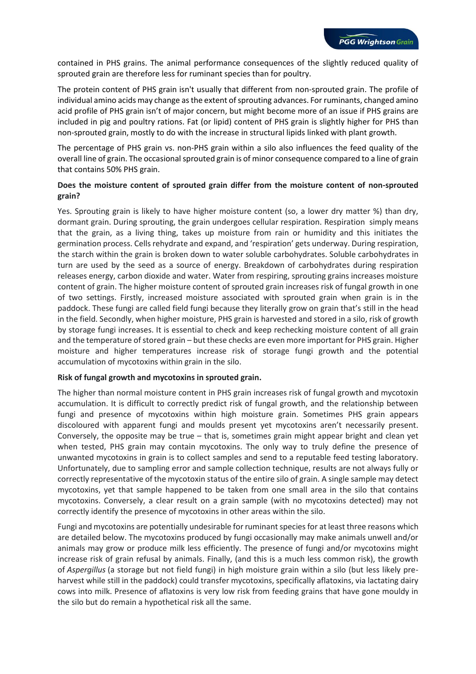contained in PHS grains. The animal performance consequences of the slightly reduced quality of sprouted grain are therefore less for ruminant species than for poultry.

The protein content of PHS grain isn't usually that different from non-sprouted grain. The profile of individual amino acids may change as the extent of sprouting advances. For ruminants, changed amino acid profile of PHS grain isn't of major concern, but might become more of an issue if PHS grains are included in pig and poultry rations. Fat (or lipid) content of PHS grain is slightly higher for PHS than non-sprouted grain, mostly to do with the increase in structural lipids linked with plant growth.

The percentage of PHS grain vs. non-PHS grain within a silo also influences the feed quality of the overall line of grain. The occasional sprouted grain is of minor consequence compared to a line of grain that contains 50% PHS grain.

# **Does the moisture content of sprouted grain differ from the moisture content of non-sprouted grain?**

Yes. Sprouting grain is likely to have higher moisture content (so, a lower dry matter %) than dry, dormant grain. During sprouting, the grain undergoes cellular respiration. Respiration simply means that the grain, as a living thing, takes up moisture from rain or humidity and this initiates the germination process. Cells rehydrate and expand, and 'respiration' gets underway. During respiration, the starch within the grain is broken down to water soluble carbohydrates. Soluble carbohydrates in turn are used by the seed as a source of energy. Breakdown of carbohydrates during respiration releases energy, carbon dioxide and water. Water from respiring, sprouting grains increases moisture content of grain. The higher moisture content of sprouted grain increases risk of fungal growth in one of two settings. Firstly, increased moisture associated with sprouted grain when grain is in the paddock. These fungi are called field fungi because they literally grow on grain that's still in the head in the field. Secondly, when higher moisture, PHS grain is harvested and stored in a silo, risk of growth by storage fungi increases. It is essential to check and keep rechecking moisture content of all grain and the temperature of stored grain – but these checks are even more important for PHS grain. Higher moisture and higher temperatures increase risk of storage fungi growth and the potential accumulation of mycotoxins within grain in the silo.

### **Risk of fungal growth and mycotoxins in sprouted grain.**

The higher than normal moisture content in PHS grain increases risk of fungal growth and mycotoxin accumulation. It is difficult to correctly predict risk of fungal growth, and the relationship between fungi and presence of mycotoxins within high moisture grain. Sometimes PHS grain appears discoloured with apparent fungi and moulds present yet mycotoxins aren't necessarily present. Conversely, the opposite may be true – that is, sometimes grain might appear bright and clean yet when tested, PHS grain may contain mycotoxins. The only way to truly define the presence of unwanted mycotoxins in grain is to collect samples and send to a reputable feed testing laboratory. Unfortunately, due to sampling error and sample collection technique, results are not always fully or correctly representative of the mycotoxin status of the entire silo of grain. A single sample may detect mycotoxins, yet that sample happened to be taken from one small area in the silo that contains mycotoxins. Conversely, a clear result on a grain sample (with no mycotoxins detected) may not correctly identify the presence of mycotoxins in other areas within the silo.

Fungi and mycotoxins are potentially undesirable for ruminant species for at least three reasons which are detailed below. The mycotoxins produced by fungi occasionally may make animals unwell and/or animals may grow or produce milk less efficiently. The presence of fungi and/or mycotoxins might increase risk of grain refusal by animals. Finally, (and this is a much less common risk), the growth of *Aspergillus* (a storage but not field fungi) in high moisture grain within a silo (but less likely preharvest while still in the paddock) could transfer mycotoxins, specifically aflatoxins, via lactating dairy cows into milk. Presence of aflatoxins is very low risk from feeding grains that have gone mouldy in the silo but do remain a hypothetical risk all the same.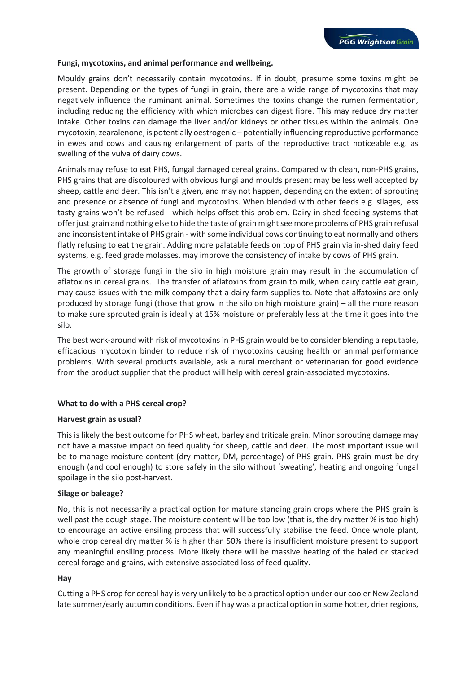#### **Fungi, mycotoxins, and animal performance and wellbeing.**

Mouldy grains don't necessarily contain mycotoxins. If in doubt, presume some toxins might be present. Depending on the types of fungi in grain, there are a wide range of mycotoxins that may negatively influence the ruminant animal. Sometimes the toxins change the rumen fermentation, including reducing the efficiency with which microbes can digest fibre. This may reduce dry matter intake. Other toxins can damage the liver and/or kidneys or other tissues within the animals. One mycotoxin, zearalenone, is potentially oestrogenic – potentially influencing reproductive performance in ewes and cows and causing enlargement of parts of the reproductive tract noticeable e.g. as swelling of the vulva of dairy cows.

Animals may refuse to eat PHS, fungal damaged cereal grains. Compared with clean, non-PHS grains, PHS grains that are discoloured with obvious fungi and moulds present may be less well accepted by sheep, cattle and deer. This isn't a given, and may not happen, depending on the extent of sprouting and presence or absence of fungi and mycotoxins. When blended with other feeds e.g. silages, less tasty grains won't be refused - which helps offset this problem. Dairy in-shed feeding systems that offer just grain and nothing else to hide the taste of grain might see more problems of PHS grain refusal and inconsistent intake of PHS grain - with some individual cows continuing to eat normally and others flatly refusing to eat the grain. Adding more palatable feeds on top of PHS grain via in-shed dairy feed systems, e.g. feed grade molasses, may improve the consistency of intake by cows of PHS grain.

The growth of storage fungi in the silo in high moisture grain may result in the accumulation of aflatoxins in cereal grains. The transfer of aflatoxins from grain to milk, when dairy cattle eat grain, may cause issues with the milk company that a dairy farm supplies to. Note that alfatoxins are only produced by storage fungi (those that grow in the silo on high moisture grain) – all the more reason to make sure sprouted grain is ideally at 15% moisture or preferably less at the time it goes into the silo.

The best work-around with risk of mycotoxins in PHS grain would be to consider blending a reputable, efficacious mycotoxin binder to reduce risk of mycotoxins causing health or animal performance problems. With several products available, ask a rural merchant or veterinarian for good evidence from the product supplier that the product will help with cereal grain-associated mycotoxins**.**

### **What to do with a PHS cereal crop?**

#### **Harvest grain as usual?**

This is likely the best outcome for PHS wheat, barley and triticale grain. Minor sprouting damage may not have a massive impact on feed quality for sheep, cattle and deer. The most important issue will be to manage moisture content (dry matter, DM, percentage) of PHS grain. PHS grain must be dry enough (and cool enough) to store safely in the silo without 'sweating', heating and ongoing fungal spoilage in the silo post-harvest.

### **Silage or baleage?**

No, this is not necessarily a practical option for mature standing grain crops where the PHS grain is well past the dough stage. The moisture content will be too low (that is, the dry matter % is too high) to encourage an active ensiling process that will successfully stabilise the feed. Once whole plant, whole crop cereal dry matter % is higher than 50% there is insufficient moisture present to support any meaningful ensiling process. More likely there will be massive heating of the baled or stacked cereal forage and grains, with extensive associated loss of feed quality.

#### **Hay**

Cutting a PHS crop for cereal hay is very unlikely to be a practical option under our cooler New Zealand late summer/early autumn conditions. Even if hay was a practical option in some hotter, drier regions,